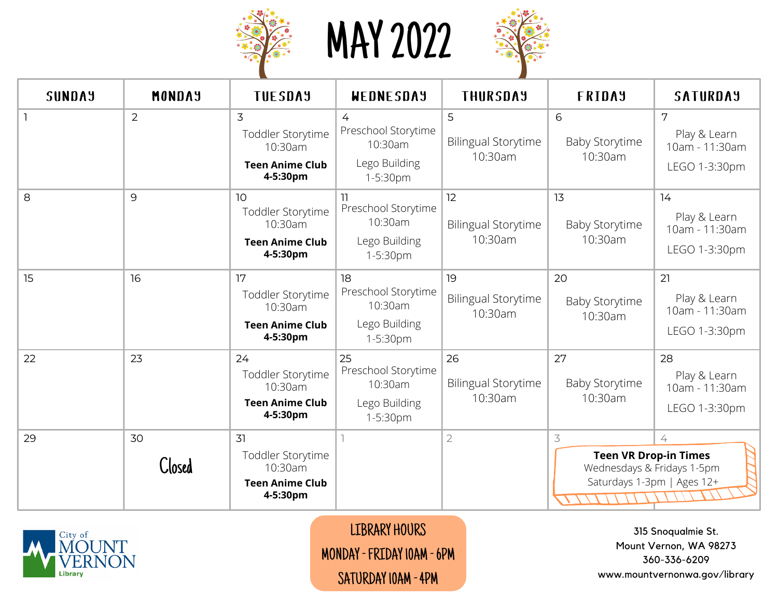

MAY 2022



| <b>SUNDAY</b> | MONDAY       | <b>TUESDAY</b>                                                           | WEDNESDAY                                                         | <b>THURSDAY</b>                             | FRIDAY                                                                         | <b>SATURDAY</b>                                       |
|---------------|--------------|--------------------------------------------------------------------------|-------------------------------------------------------------------|---------------------------------------------|--------------------------------------------------------------------------------|-------------------------------------------------------|
|               | 2            | 3<br>Toddler Storytime<br>10:30am<br><b>Teen Anime Club</b><br>4-5:30pm  | 4<br>Preschool Storytime<br>10:30am<br>Lego Building<br>1-5:30pm  | 5<br><b>Bilingual Storytime</b><br>10:30am  | 6<br><b>Baby Storytime</b><br>10:30am                                          | 7<br>Play & Learn<br>10am - 11:30am<br>LEGO 1-3:30pm  |
| 8             | 9            | 10<br>Toddler Storytime<br>10:30am<br><b>Teen Anime Club</b><br>4-5:30pm | Preschool Storytime<br>10:30am<br>Lego Building<br>1-5:30pm       | 12<br><b>Bilingual Storytime</b><br>10:30am | 13<br><b>Baby Storytime</b><br>10:30am                                         | 14<br>Play & Learn<br>10am - 11:30am<br>LEGO 1-3:30pm |
| 15            | 16           | 17<br>Toddler Storytime<br>10:30am<br><b>Teen Anime Club</b><br>4-5:30pm | 18<br>Preschool Storytime<br>10:30am<br>Lego Building<br>1-5:30pm | 19<br><b>Bilingual Storytime</b><br>10:30am | 20<br><b>Baby Storytime</b><br>10:30am                                         | 21<br>Play & Learn<br>10am - 11:30am<br>LEGO 1-3:30pm |
| 22            | 23           | 24<br>Toddler Storytime<br>10:30am<br><b>Teen Anime Club</b><br>4-5:30pm | 25<br>Preschool Storytime<br>10:30am<br>Lego Building<br>1-5:30pm | 26<br><b>Bilingual Storytime</b><br>10:30am | 27<br><b>Baby Storytime</b><br>10:30am                                         | 28<br>Play & Learn<br>10am - 11:30am<br>LEGO 1-3:30pm |
| 29            | 30<br>Closed | 31<br>Toddler Storytime<br>10:30am<br><b>Teen Anime Club</b><br>4-5:30pm |                                                                   | $\overline{2}$                              | 3<br><b>Teen VR Drop-in Times</b><br>Wednesdays & Fridays 1-5pm<br>$\sqrt{11}$ | 4<br>Saturdays 1-3pm   Ages 12+                       |



LIBRARY HOURS MONDAY -FRIDAY 10AM -6PM SATURDAY 10AM - 4PM

315 Snoqualmie St. Mount Vernon, WA 98273 360-336-6209 www.mountvernonwa.gov/library